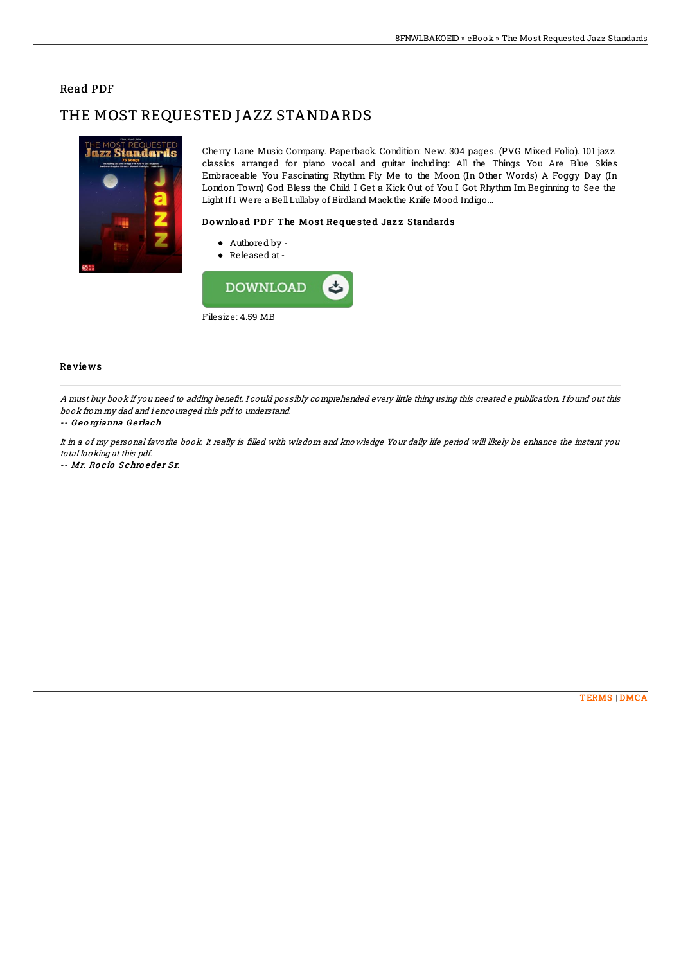### Read PDF

# THE MOST REQUESTED JAZZ STANDARDS



Cherry Lane Music Company. Paperback. Condition: New. 304 pages. (PVG Mixed Folio). 101 jazz classics arranged for piano vocal and guitar including: All the Things You Are Blue Skies Embraceable You Fascinating Rhythm Fly Me to the Moon (In Other Words) A Foggy Day (In London Town) God Bless the Child I Get a Kick Out of You I Got Rhythm Im Beginning to See the Light If I Were a BellLullaby of Birdland Mackthe Knife Mood Indigo...

### Download PDF The Most Requested Jazz Standards

- Authored by -
- Released at-



#### Re vie ws

A must buy book if you need to adding benefit. I could possibly comprehended every little thing using this created e publication. I found out this book from my dad and i encouraged this pdf to understand.

#### -- Georgianna Gerlach

It in a of my personal favorite book. It really is filled with wisdom and knowledge Your daily life period will likely be enhance the instant you total looking at this pdf.

#### -- Mr. Rocio Schroeder Sr.